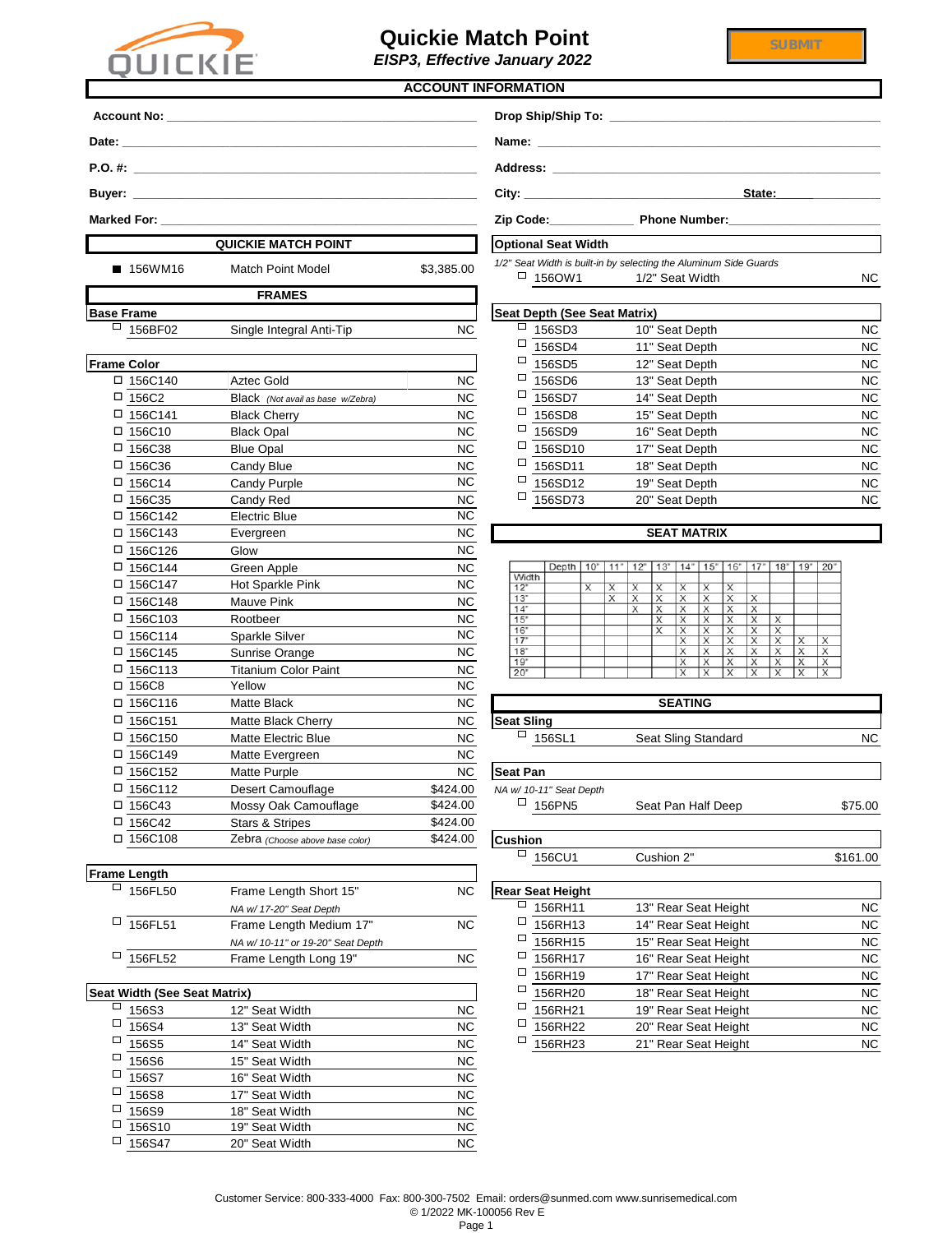| eat Depth (See Seat Matrix) |                |           |
|-----------------------------|----------------|-----------|
| 156SD3                      | 10" Seat Depth | <b>NC</b> |
| 156SD4                      | 11" Seat Depth | <b>NC</b> |
| 156SD5                      | 12" Seat Depth | <b>NC</b> |
| 156SD6                      | 13" Seat Depth | <b>NC</b> |
| 156SD7                      | 14" Seat Depth | <b>NC</b> |
| 156SD8                      | 15" Seat Depth | <b>NC</b> |
| 156SD9                      | 16" Seat Depth | <b>NC</b> |
| 156SD10                     | 17" Seat Depth | <b>NC</b> |
| 156SD11                     | 18" Seat Depth | <b>NC</b> |
| 156SD12                     | 19" Seat Depth | <b>NC</b> |
| 156SD73                     | 20" Seat Depth | <b>NC</b> |

|       | Depth | 10" | $\mathbb{R}^n$ | 2" | 3" | $\mathbf{10}$<br>14 | 5<br>m<br>1 | 6"               |        | 18"    | $\cdot$ 9" | 20"               |
|-------|-------|-----|----------------|----|----|---------------------|-------------|------------------|--------|--------|------------|-------------------|
| Width |       |     |                |    |    |                     |             |                  |        |        |            |                   |
| 12"   |       | х   | х              | х  | х  | х                   | Х           | х                |        |        |            |                   |
| 13"   |       |     | X              | Χ  | X  | Χ                   | Х           | X                | х      |        |            |                   |
| 14"   |       |     |                | X  | Χ  | х                   | X           | X                | X      |        |            |                   |
| 15"   |       |     |                |    | х  | Χ                   | Х           | $\check{ }$<br>∧ | х      | х      |            |                   |
| 16"   |       |     |                |    | Х  | Χ                   | х           | х                | Χ      | х      |            |                   |
| 7"    |       |     |                |    |    | Χ                   | Х           | X                | Х      | X      | Х          | X                 |
| 18"   |       |     |                |    |    | Χ                   | Χ           | Χ                | Х      | х      | X          | X                 |
| 19"   |       |     |                |    |    | $\check{ }$         | х           | $\check{ }$<br>л | v<br>∧ | v<br>◢ | J          | $\checkmark$<br>∧ |
| 20"   |       |     |                |    |    | Х                   | Х           | x                | X      | Χ      | v          | X                 |

|                       | <b>SEATING</b>             |  |
|-----------------------|----------------------------|--|
| <b>Seat Sling</b>     |                            |  |
| $\overline{1}$ 156SL1 | <b>Seat Sling Standard</b> |  |

|                    |                                   |            | <b>ACCOUNT INFORMATION</b>          |                                                                                           |                        |
|--------------------|-----------------------------------|------------|-------------------------------------|-------------------------------------------------------------------------------------------|------------------------|
|                    |                                   |            |                                     |                                                                                           |                        |
|                    |                                   |            |                                     |                                                                                           |                        |
|                    |                                   |            |                                     |                                                                                           |                        |
|                    |                                   |            |                                     | State:                                                                                    |                        |
|                    |                                   |            |                                     |                                                                                           |                        |
|                    | <b>QUICKIE MATCH POINT</b>        |            | <b>Optional Seat Width</b>          |                                                                                           |                        |
| ■ 156WM16          | <b>Match Point Model</b>          | \$3,385.00 | $\Box$ 1560W1                       | 1/2" Seat Width is built-in by selecting the Aluminum Side Guards<br>1/2" Seat Width      | <b>NC</b>              |
|                    | <b>FRAMES</b>                     |            |                                     |                                                                                           |                        |
| <b>Base Frame</b>  |                                   |            | <b>Seat Depth (See Seat Matrix)</b> |                                                                                           |                        |
| $\Box$<br>156BF02  | Single Integral Anti-Tip          | <b>NC</b>  | □<br>156SD3                         | 10" Seat Depth                                                                            | <b>NC</b>              |
|                    |                                   |            | □<br>156SD4                         | 11" Seat Depth                                                                            | <b>NC</b>              |
| <b>Frame Color</b> |                                   |            | □<br>156SD5                         | 12" Seat Depth                                                                            | <b>NC</b>              |
| □ 156C140          | <b>Aztec Gold</b>                 | <b>NC</b>  | $\Box$<br>156SD6                    | 13" Seat Depth                                                                            | <b>NC</b>              |
| $\Box$ 156C2       | Black (Not avail as base w/Zebra) | <b>NC</b>  | $\Box$<br>156SD7                    | 14" Seat Depth                                                                            | <b>NC</b>              |
| $\Box$ 156C141     | <b>Black Cherry</b>               | <b>NC</b>  | $\Box$<br>156SD8                    | 15" Seat Depth                                                                            | <b>NC</b>              |
| $\Box$ 156C10      | <b>Black Opal</b>                 | <b>NC</b>  | $\Box$<br>156SD9                    | 16" Seat Depth                                                                            | <b>NC</b>              |
| □ 156C38           | <b>Blue Opal</b>                  | <b>NC</b>  | $\Box$<br>156SD10                   | 17" Seat Depth                                                                            | <b>NC</b>              |
| $\Box$ 156C36      | Candy Blue                        | <b>NC</b>  | $\Box$<br>156SD11                   | 18" Seat Depth                                                                            | <b>NC</b>              |
| $\Box$ 156C14      | <b>Candy Purple</b>               | <b>NC</b>  | 口<br>156SD12                        | 19" Seat Depth                                                                            | <b>NC</b>              |
| □ 156C35           | Candy Red                         | <b>NC</b>  | $\Box$<br>156SD73                   | 20" Seat Depth                                                                            | <b>NC</b>              |
| □ 156C142          | <b>Electric Blue</b>              | <b>NC</b>  |                                     |                                                                                           |                        |
| □ 156C143          | Evergreen                         | <b>NC</b>  |                                     | <b>SEAT MATRIX</b>                                                                        |                        |
| □ 156C126          | Glow                              | <b>NC</b>  |                                     |                                                                                           |                        |
| □ 156C144          | Green Apple                       | <b>NC</b>  | Width                               | Depth   10"   11"   12"   13"   14"   15"   16"   17"   18"   19"   20"                   |                        |
| □ 156C147          | Hot Sparkle Pink                  | <b>NC</b>  | 12"<br>X<br>13"                     | $\overline{X}$<br>$\overline{X}$<br>X<br>X<br>X<br>X<br>$\times$<br>X<br>Х<br>X<br>Х<br>X |                        |
| □ 156C148          | Mauve Pink                        | <b>NC</b>  | 14"                                 | X<br>X<br>х<br>Х<br>X<br>х                                                                |                        |
| □ 156C103          | Rootbeer                          | <b>NC</b>  | 15"<br>16"                          | Х<br>X<br>Х<br>X<br>X<br>$\overline{\mathsf{x}}$<br>X<br>Х<br>Х<br>Х                      |                        |
| □ 156C114          | Sparkle Silver                    | <b>NC</b>  | 17"<br>18"                          | X<br>Х<br>X<br>Х<br>X<br>Х<br>X<br>Х                                                      | $\mathsf{X}$<br>X<br>X |
| □ 156C145          | Sunrise Orange                    | NC         | 19"                                 | X<br>Х<br>Х<br>Х<br>X                                                                     | Х<br>Х<br>X            |
| □ 156C113          | <b>Titanium Color Paint</b>       | <b>NC</b>  | 20"                                 | X<br>X<br>X<br>X<br>Х                                                                     | X<br>X                 |
| □ 156C8            | Yellow                            | <b>NC</b>  |                                     |                                                                                           |                        |
| □ 156C116          | Matte Black                       | <b>NC</b>  |                                     | <b>SEATING</b>                                                                            |                        |
| □ 156C151          | Matte Black Cherry                | <b>NC</b>  | <b>Seat Sling</b><br>$\Box$         |                                                                                           |                        |
| □ 156C150          | <b>Matte Electric Blue</b>        | <b>NC</b>  | 156SL1                              | Seat Sling Standard                                                                       | NC                     |
| □ 156C149          | Matte Evergreen                   | <b>NC</b>  |                                     |                                                                                           |                        |
| □ 156C152          | Matte Purple                      | <b>NC</b>  | <b>Seat Pan</b>                     |                                                                                           |                        |
| □ 156C112          | Desert Camouflage                 | \$424.00   | NA w/ 10-11" Seat Depth             |                                                                                           |                        |
| □ 156C43           | Mossy Oak Camouflage              | \$424.00   | $\Box$ 156PN5                       | Seat Pan Half Deep                                                                        | \$75.00                |
| $\square$ 156C42   | <b>Stars &amp; Stripes</b>        | \$424.00   |                                     |                                                                                           |                        |
| □ 156C108          | Zebra (Choose above base color)   | \$424.00   | <b>Cushion</b><br>□                 |                                                                                           |                        |
|                    |                                   |            | 156CU1                              | Cushion 2"                                                                                | \$161.00               |

| <b>Frame Length</b> |                                     |                          |                         |
|---------------------|-------------------------------------|--------------------------|-------------------------|
| 156FL50             | <b>NC</b><br>Frame Length Short 15" |                          | <b>Rear Seat Height</b> |
|                     | NA w/ 17-20" Seat Depth             |                          | 156RH11                 |
| 156FL51             | Frame Length Medium 17"             | <b>NC</b>                | 156RH13                 |
|                     | NA w/ 10-11" or 19-20" Seat Depth   |                          | 156RH15                 |
| 156FL52             | Frame Length Long 19"               | <b>NC</b>                | 156RH17                 |
|                     |                                     | $\overline{\phantom{0}}$ |                         |

| renan                  |                                   |           |                         |                      |           |
|------------------------|-----------------------------------|-----------|-------------------------|----------------------|-----------|
| 156FL50                | Frame Length Short 15"            | NC.       | <b>Rear Seat Height</b> |                      |           |
|                        | NA w/ 17-20" Seat Depth           |           | 156RH11                 | 13" Rear Seat Height | NC        |
| 156FL51                | Frame Length Medium 17"           | <b>NC</b> | 156RH13                 | 14" Rear Seat Height | <b>NC</b> |
|                        | NA w/ 10-11" or 19-20" Seat Depth |           | 156RH15                 | 15" Rear Seat Height | NC        |
| 156FL52                | Frame Length Long 19"             | <b>NC</b> | 156RH17                 | 16" Rear Seat Height | NC        |
|                        |                                   |           | 156RH19                 | 17" Rear Seat Height | NC        |
| idth (See Seat Matrix) |                                   |           | $\Box$<br>156RH20       | 18" Rear Seat Height | <b>NC</b> |
| 156S3                  | 12" Seat Width                    | <b>NC</b> | 156RH21                 | 19" Rear Seat Height | NC        |
| 156S4                  | 13" Seat Width                    | <b>NC</b> | 156RH22                 | 20" Rear Seat Height | NC        |
| 156S5                  | 14" Seat Width                    | <b>NC</b> | 156RH23                 | 21" Rear Seat Height | NC        |
|                        |                                   |           |                         |                      |           |

 $$161.00$ 

|        | <b>Seat Width (See Seat Matrix)</b> |                |           |        | 156RH20 | 18" Rear Seat Height | <b>NC</b> |
|--------|-------------------------------------|----------------|-----------|--------|---------|----------------------|-----------|
| $\Box$ | 156S3                               | 12" Seat Width | <b>NC</b> |        | 156RH21 | 19" Rear Seat Height | <b>NC</b> |
| □      | 156S4                               | 13" Seat Width | <b>NC</b> | $\Box$ | 156RH22 | 20" Rear Seat Height | <b>NC</b> |
| □      | 156S5                               | 14" Seat Width | <b>NC</b> |        | 156RH23 | 21" Rear Seat Height | <b>NC</b> |
| □      | 156S6                               | 15" Seat Width | <b>NC</b> |        |         |                      |           |
| □      | 156S7                               | 16" Seat Width | <b>NC</b> |        |         |                      |           |
| □      | 156S8                               | 17" Seat Width | <b>NC</b> |        |         |                      |           |
| □      | 156S9                               | 18" Seat Width | <b>NC</b> |        |         |                      |           |
| □      | 156S10                              | 19" Seat Width | <b>NC</b> |        |         |                      |           |
| □      | 156S47                              | 20" Seat Width | <b>NC</b> |        |         |                      |           |



## **Quickie Match Point**

*EISP3, Effective January 2022*

Customer Service: 800-333-4000 Fax: 800-300-7502 Email: orders@sunmed.com www.sunrisemedical.com © 1/2022 MK-100056 Rev E

Page 1